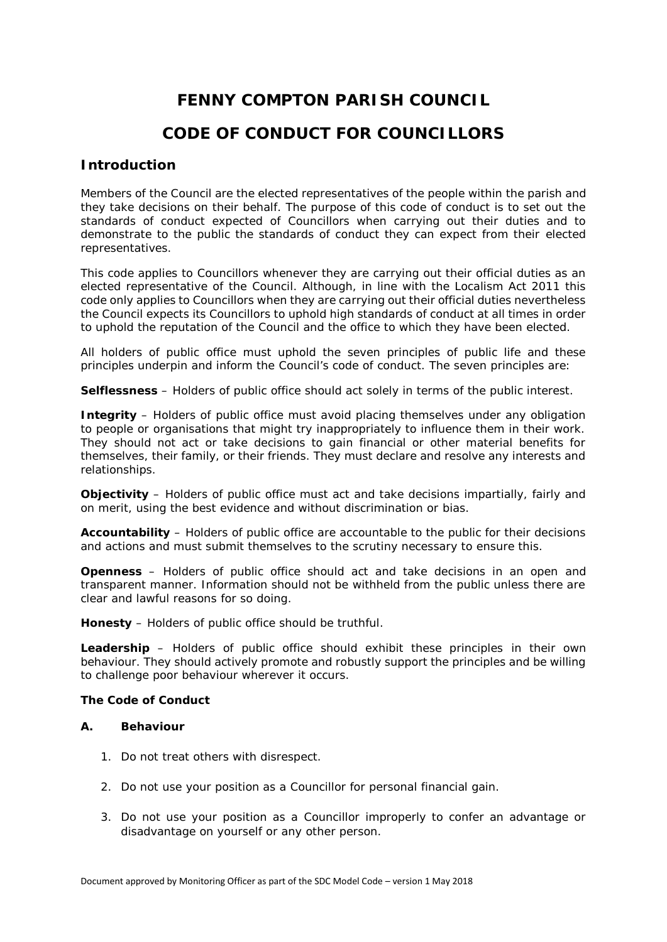# **FENNY COMPTON PARISH COUNCIL CODE OF CONDUCT FOR COUNCILLORS**

### **Introduction**

Members of the Council are the elected representatives of the people within the parish and they take decisions on their behalf. The purpose of this code of conduct is to set out the standards of conduct expected of Councillors when carrying out their duties and to demonstrate to the public the standards of conduct they can expect from their elected representatives.

This code applies to Councillors whenever they are carrying out their official duties as an elected representative of the Council. Although, in line with the Localism Act 2011 this code only applies to Councillors when they are carrying out their official duties nevertheless the Council expects its Councillors to uphold high standards of conduct at all times in order to uphold the reputation of the Council and the office to which they have been elected.

All holders of public office must uphold the seven principles of public life and these principles underpin and inform the Council's code of conduct. The seven principles are:

**Selflessness** – Holders of public office should act solely in terms of the public interest.

**Integrity** – Holders of public office must avoid placing themselves under any obligation to people or organisations that might try inappropriately to influence them in their work. They should not act or take decisions to gain financial or other material benefits for themselves, their family, or their friends. They must declare and resolve any interests and relationships.

**Objectivity** – Holders of public office must act and take decisions impartially, fairly and on merit, using the best evidence and without discrimination or bias.

**Accountability** – Holders of public office are accountable to the public for their decisions and actions and must submit themselves to the scrutiny necessary to ensure this.

**Openness** – Holders of public office should act and take decisions in an open and transparent manner. Information should not be withheld from the public unless there are clear and lawful reasons for so doing.

**Honesty** – Holders of public office should be truthful.

**Leadership** – Holders of public office should exhibit these principles in their own behaviour. They should actively promote and robustly support the principles and be willing to challenge poor behaviour wherever it occurs.

**The Code of Conduct**

#### **A. Behaviour**

- 1. Do not treat others with disrespect.
- 2. Do not use your position as a Councillor for personal financial gain.
- 3. Do not use your position as a Councillor improperly to confer an advantage or disadvantage on yourself or any other person.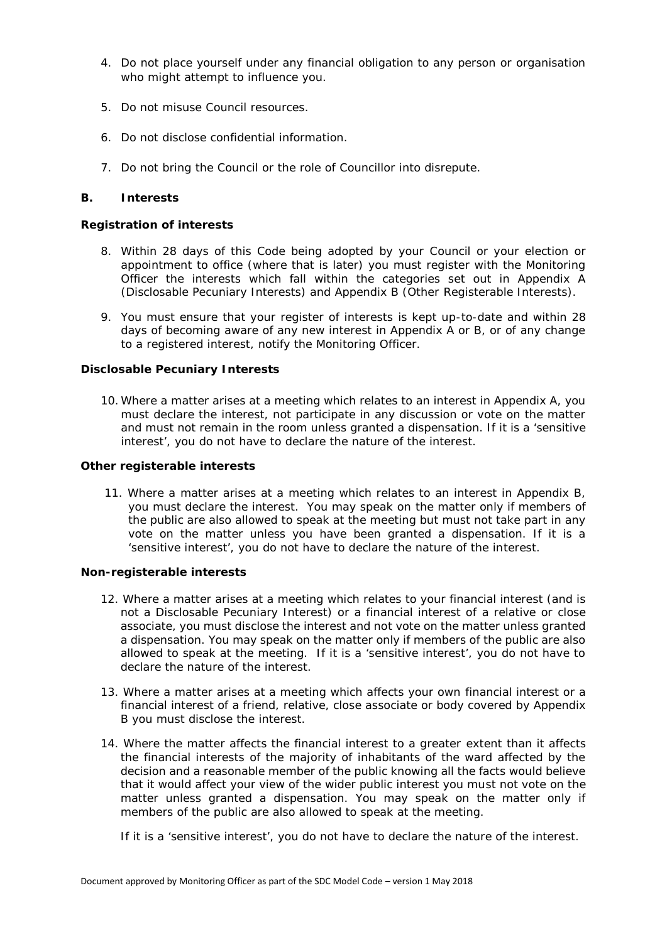- 4. Do not place yourself under any financial obligation to any person or organisation who might attempt to influence you.
- 5. Do not misuse Council resources.
- 6. Do not disclose confidential information.
- 7. Do not bring the Council or the role of Councillor into disrepute.

#### **B. Interests**

**Registration of interests**

- 8. Within 28 days of this Code being adopted by your Council or your election or appointment to office (where that is later) you must register with the Monitoring Officer the interests which fall within the categories set out in Appendix A (Disclosable Pecuniary Interests) and Appendix B (Other Registerable Interests).
- 9. You must ensure that your register of interests is kept up-to-date and within 28 days of becoming aware of any new interest in Appendix A or B, or of any change to a registered interest, notify the Monitoring Officer.

#### **Disclosable Pecuniary Interests**

10. Where a matter arises at a meeting which relates to an interest in Appendix A, you must declare the interest, not participate in any discussion or vote on the matter and must not remain in the room unless granted a dispensation. If it is a 'sensitive interest', you do not have to declare the nature of the interest.

**Other registerable interests**

11. Where a matter arises at a meeting which relates to an interest in Appendix B, you must declare the interest. You may speak on the matter only if members of the public are also allowed to speak at the meeting but must not take part in any vote on the matter unless you have been granted a dispensation. If it is a 'sensitive interest', you do not have to declare the nature of the interest.

**Non-registerable interests**

- 12. Where a matter arises at a meeting which relates to your financial interest (and is not a Disclosable Pecuniary Interest) or a financial interest of a relative or close associate, you must disclose the interest and not vote on the matter unless granted a dispensation. You may speak on the matter only if members of the public are also allowed to speak at the meeting. If it is a 'sensitive interest', you do not have to declare the nature of the interest.
- 13. Where a matter arises at a meeting which affects your own financial interest or a financial interest of a friend, relative, close associate or body covered by Appendix B you must disclose the interest.
- 14. Where the matter affects the financial interest to a greater extent than it affects the financial interests of the majority of inhabitants of the ward affected by the decision and a reasonable member of the public knowing all the facts would believe that it would affect your view of the wider public interest you must not vote on the matter unless granted a dispensation. You may speak on the matter only if members of the public are also allowed to speak at the meeting.

If it is a 'sensitive interest', you do not have to declare the nature of the interest.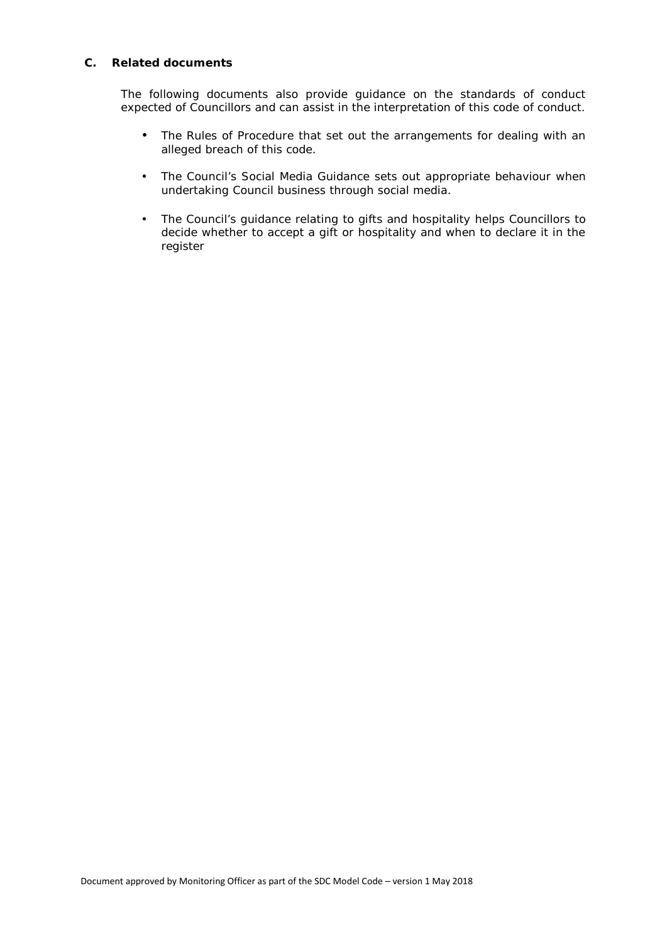#### **C. Related documents**

The following documents also provide guidance on the standards of conduct expected of Councillors and can assist in the interpretation of this code of conduct.

- The Rules of Procedure that set out the arrangements for dealing with an alleged breach of this code.
- The Council's Social Media Guidance sets out appropriate behaviour when undertaking Council business through social media.
- The Council's guidance relating to gifts and hospitality helps Councillors to decide whether to accept a gift or hospitality and when to declare it in the register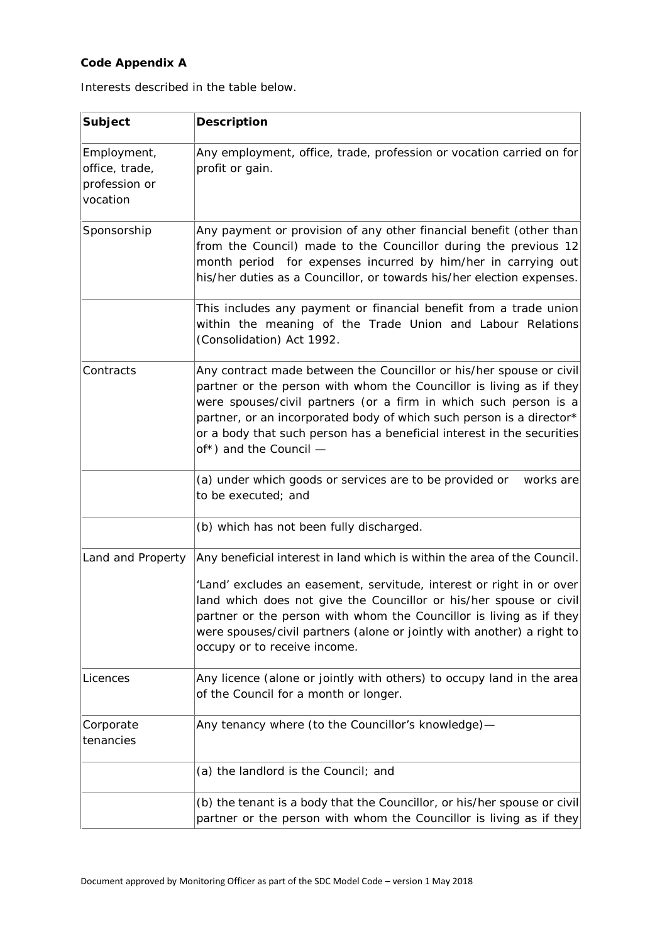## **Code Appendix A**

Interests described in the table below.

| Subject                                                    | Description                                                                                                                                                                                                                                                                                                                                                                                             |
|------------------------------------------------------------|---------------------------------------------------------------------------------------------------------------------------------------------------------------------------------------------------------------------------------------------------------------------------------------------------------------------------------------------------------------------------------------------------------|
| Employment,<br>office, trade,<br>profession or<br>vocation | Any employment, office, trade, profession or vocation carried on for<br>profit or gain.                                                                                                                                                                                                                                                                                                                 |
| Sponsorship                                                | Any payment or provision of any other financial benefit (other than<br>from the Council) made to the Councillor during the previous 12<br>month period for expenses incurred by him/her in carrying out<br>his/her duties as a Councillor, or towards his/her election expenses.                                                                                                                        |
|                                                            | This includes any payment or financial benefit from a trade union<br>within the meaning of the Trade Union and Labour Relations<br>(Consolidation) Act 1992.                                                                                                                                                                                                                                            |
| Contracts                                                  | Any contract made between the Councillor or his/her spouse or civil<br>partner or the person with whom the Councillor is living as if they<br>were spouses/civil partners (or a firm in which such person is a<br>partner, or an incorporated body of which such person is a director*<br>or a body that such person has a beneficial interest in the securities<br>of*) and the Council -              |
|                                                            | (a) under which goods or services are to be provided or<br>works are<br>to be executed; and                                                                                                                                                                                                                                                                                                             |
|                                                            | (b) which has not been fully discharged.                                                                                                                                                                                                                                                                                                                                                                |
| Land and Property                                          | Any beneficial interest in land which is within the area of the Council.<br>'Land' excludes an easement, servitude, interest or right in or over<br>land which does not give the Councillor or his/her spouse or civil<br>partner or the person with whom the Councillor is living as if they<br>were spouses/civil partners (alone or jointly with another) a right to<br>occupy or to receive income. |
| Licences                                                   | Any licence (alone or jointly with others) to occupy land in the area<br>of the Council for a month or longer.                                                                                                                                                                                                                                                                                          |
| Corporate<br>tenancies                                     | Any tenancy where (to the Councillor's knowledge)-                                                                                                                                                                                                                                                                                                                                                      |
|                                                            | (a) the landlord is the Council; and                                                                                                                                                                                                                                                                                                                                                                    |
|                                                            | (b) the tenant is a body that the Councillor, or his/her spouse or civil<br>partner or the person with whom the Councillor is living as if they                                                                                                                                                                                                                                                         |